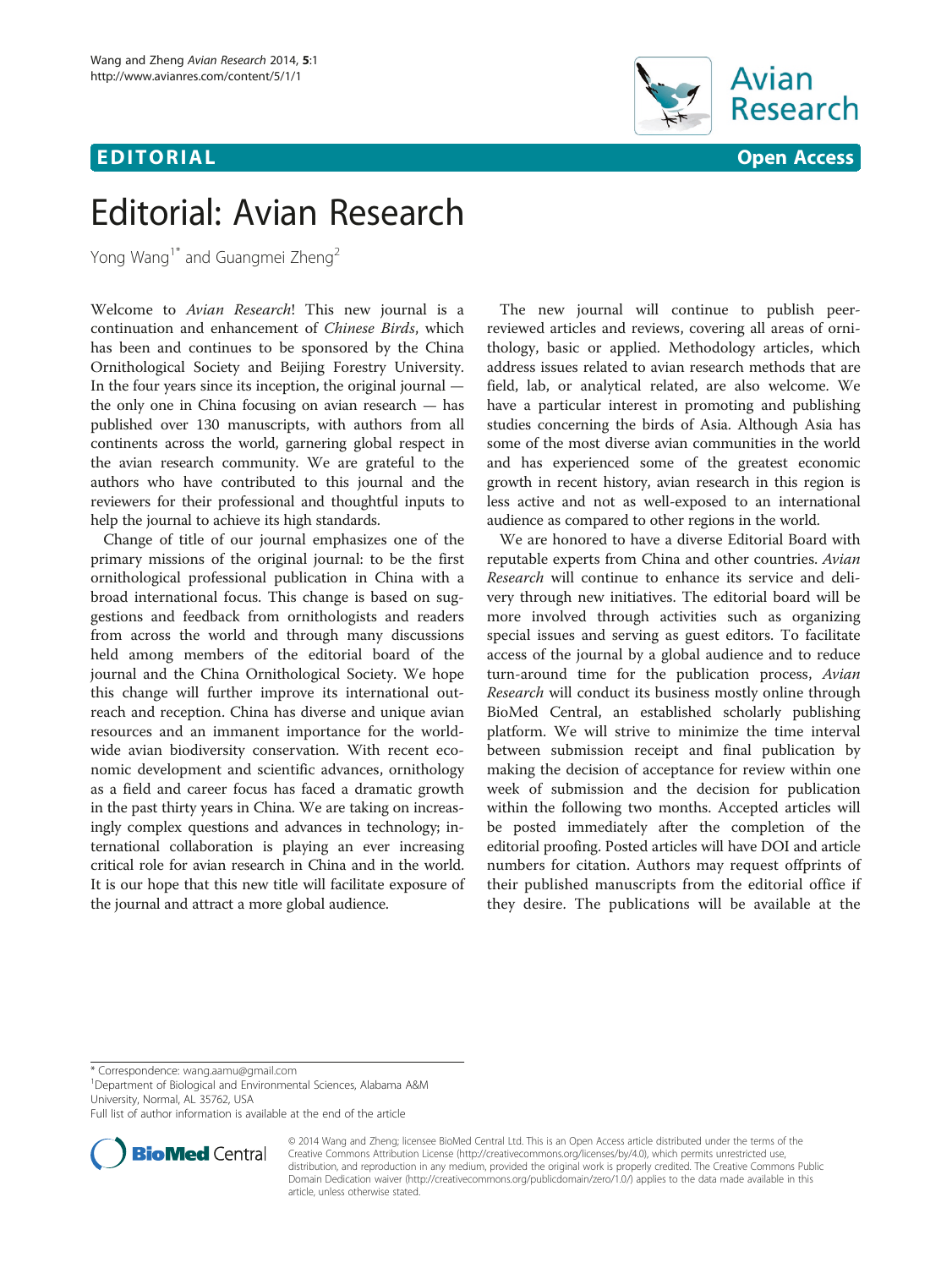

## Editorial: Avian Research

Yong Wang<sup>1\*</sup> and Guangmei Zheng<sup>2</sup>

Welcome to Avian Research! This new journal is a continuation and enhancement of Chinese Birds, which has been and continues to be sponsored by the China Ornithological Society and Beijing Forestry University. In the four years since its inception, the original journal the only one in China focusing on avian research — has published over 130 manuscripts, with authors from all continents across the world, garnering global respect in the avian research community. We are grateful to the authors who have contributed to this journal and the reviewers for their professional and thoughtful inputs to help the journal to achieve its high standards.

Change of title of our journal emphasizes one of the primary missions of the original journal: to be the first ornithological professional publication in China with a broad international focus. This change is based on suggestions and feedback from ornithologists and readers from across the world and through many discussions held among members of the editorial board of the journal and the China Ornithological Society. We hope this change will further improve its international outreach and reception. China has diverse and unique avian resources and an immanent importance for the worldwide avian biodiversity conservation. With recent economic development and scientific advances, ornithology as a field and career focus has faced a dramatic growth in the past thirty years in China. We are taking on increasingly complex questions and advances in technology; international collaboration is playing an ever increasing critical role for avian research in China and in the world. It is our hope that this new title will facilitate exposure of the journal and attract a more global audience.

The new journal will continue to publish peerreviewed articles and reviews, covering all areas of ornithology, basic or applied. Methodology articles, which address issues related to avian research methods that are field, lab, or analytical related, are also welcome. We have a particular interest in promoting and publishing studies concerning the birds of Asia. Although Asia has some of the most diverse avian communities in the world and has experienced some of the greatest economic growth in recent history, avian research in this region is less active and not as well-exposed to an international audience as compared to other regions in the world.

We are honored to have a diverse Editorial Board with reputable experts from China and other countries. Avian Research will continue to enhance its service and delivery through new initiatives. The editorial board will be more involved through activities such as organizing special issues and serving as guest editors. To facilitate access of the journal by a global audience and to reduce turn-around time for the publication process, Avian Research will conduct its business mostly online through BioMed Central, an established scholarly publishing platform. We will strive to minimize the time interval between submission receipt and final publication by making the decision of acceptance for review within one week of submission and the decision for publication within the following two months. Accepted articles will be posted immediately after the completion of the editorial proofing. Posted articles will have DOI and article numbers for citation. Authors may request offprints of their published manuscripts from the editorial office if they desire. The publications will be available at the

\* Correspondence: [wang.aamu@gmail.com](mailto:wang.aamu@gmail.com) <sup>1</sup>

Department of Biological and Environmental Sciences, Alabama A&M University, Normal, AL 35762, USA

Full list of author information is available at the end of the article



<sup>© 2014</sup> Wang and Zheng; licensee BioMed Central Ltd. This is an Open Access article distributed under the terms of the Creative Commons Attribution License (<http://creativecommons.org/licenses/by/4.0>), which permits unrestricted use, distribution, and reproduction in any medium, provided the original work is properly credited. The Creative Commons Public Domain Dedication waiver [\(http://creativecommons.org/publicdomain/zero/1.0/\)](http://creativecommons.org/publicdomain/zero/1.0/) applies to the data made available in this article, unless otherwise stated.